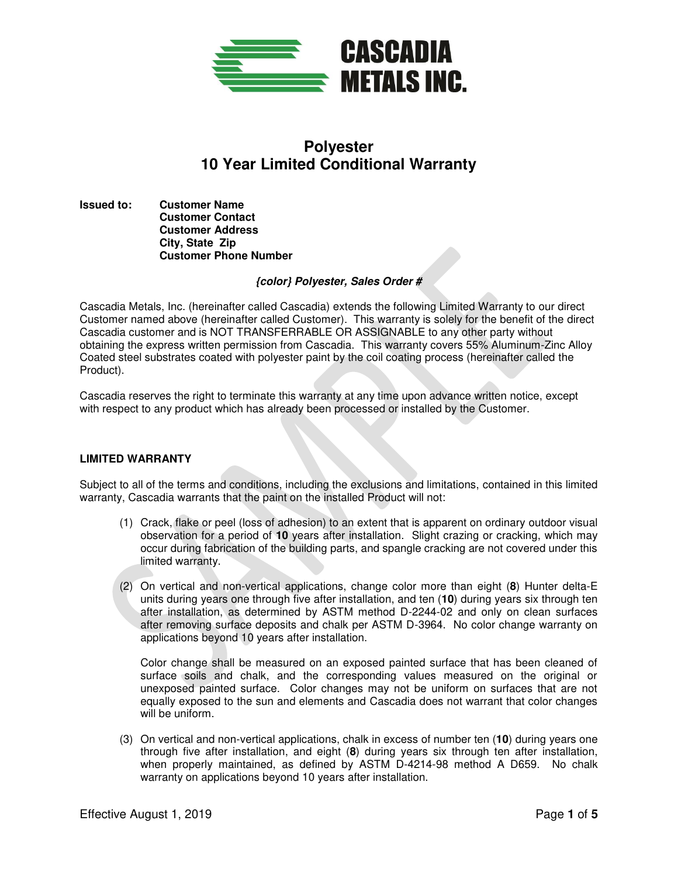

# **Polyester 10 Year Limited Conditional Warranty**

**Issued to: Customer Name Customer Contact Customer Address City, State Zip Customer Phone Number** 

## **{color} Polyester, Sales Order #**

Cascadia Metals, Inc. (hereinafter called Cascadia) extends the following Limited Warranty to our direct Customer named above (hereinafter called Customer). This warranty is solely for the benefit of the direct Cascadia customer and is NOT TRANSFERRABLE OR ASSIGNABLE to any other party without obtaining the express written permission from Cascadia. This warranty covers 55% Aluminum-Zinc Alloy Coated steel substrates coated with polyester paint by the coil coating process (hereinafter called the Product).

Cascadia reserves the right to terminate this warranty at any time upon advance written notice, except with respect to any product which has already been processed or installed by the Customer.

#### **LIMITED WARRANTY**

Subject to all of the terms and conditions, including the exclusions and limitations, contained in this limited warranty, Cascadia warrants that the paint on the installed Product will not:

- (1) Crack, flake or peel (loss of adhesion) to an extent that is apparent on ordinary outdoor visual observation for a period of **10** years after installation. Slight crazing or cracking, which may occur during fabrication of the building parts, and spangle cracking are not covered under this limited warranty.
- (2) On vertical and non-vertical applications, change color more than eight (**8**) Hunter delta-E units during years one through five after installation, and ten (**10**) during years six through ten after installation, as determined by ASTM method D-2244-02 and only on clean surfaces after removing surface deposits and chalk per ASTM D-3964. No color change warranty on applications beyond 10 years after installation.

Color change shall be measured on an exposed painted surface that has been cleaned of surface soils and chalk, and the corresponding values measured on the original or unexposed painted surface. Color changes may not be uniform on surfaces that are not equally exposed to the sun and elements and Cascadia does not warrant that color changes will be uniform.

(3) On vertical and non-vertical applications, chalk in excess of number ten (**10**) during years one through five after installation, and eight (**8**) during years six through ten after installation, when properly maintained, as defined by ASTM D-4214-98 method A D659. No chalk warranty on applications beyond 10 years after installation.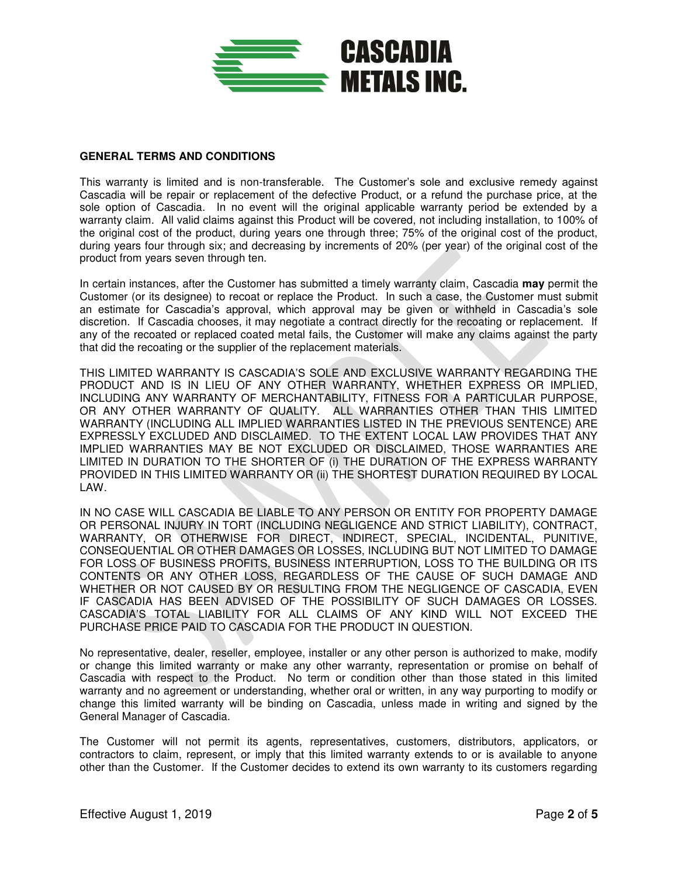

## **GENERAL TERMS AND CONDITIONS**

This warranty is limited and is non-transferable. The Customer's sole and exclusive remedy against Cascadia will be repair or replacement of the defective Product, or a refund the purchase price, at the sole option of Cascadia. In no event will the original applicable warranty period be extended by a warranty claim. All valid claims against this Product will be covered, not including installation, to 100% of the original cost of the product, during years one through three; 75% of the original cost of the product, during years four through six; and decreasing by increments of 20% (per year) of the original cost of the product from years seven through ten.

In certain instances, after the Customer has submitted a timely warranty claim, Cascadia **may** permit the Customer (or its designee) to recoat or replace the Product. In such a case, the Customer must submit an estimate for Cascadia's approval, which approval may be given or withheld in Cascadia's sole discretion. If Cascadia chooses, it may negotiate a contract directly for the recoating or replacement. If any of the recoated or replaced coated metal fails, the Customer will make any claims against the party that did the recoating or the supplier of the replacement materials.

THIS LIMITED WARRANTY IS CASCADIA'S SOLE AND EXCLUSIVE WARRANTY REGARDING THE PRODUCT AND IS IN LIEU OF ANY OTHER WARRANTY, WHETHER EXPRESS OR IMPLIED, INCLUDING ANY WARRANTY OF MERCHANTABILITY, FITNESS FOR A PARTICULAR PURPOSE, OR ANY OTHER WARRANTY OF QUALITY. ALL WARRANTIES OTHER THAN THIS LIMITED WARRANTY (INCLUDING ALL IMPLIED WARRANTIES LISTED IN THE PREVIOUS SENTENCE) ARE EXPRESSLY EXCLUDED AND DISCLAIMED. TO THE EXTENT LOCAL LAW PROVIDES THAT ANY IMPLIED WARRANTIES MAY BE NOT EXCLUDED OR DISCLAIMED, THOSE WARRANTIES ARE LIMITED IN DURATION TO THE SHORTER OF (i) THE DURATION OF THE EXPRESS WARRANTY PROVIDED IN THIS LIMITED WARRANTY OR (ii) THE SHORTEST DURATION REQUIRED BY LOCAL LAW.

IN NO CASE WILL CASCADIA BE LIABLE TO ANY PERSON OR ENTITY FOR PROPERTY DAMAGE OR PERSONAL INJURY IN TORT (INCLUDING NEGLIGENCE AND STRICT LIABILITY), CONTRACT, WARRANTY, OR OTHERWISE FOR DIRECT, INDIRECT, SPECIAL, INCIDENTAL, PUNITIVE, CONSEQUENTIAL OR OTHER DAMAGES OR LOSSES, INCLUDING BUT NOT LIMITED TO DAMAGE FOR LOSS OF BUSINESS PROFITS, BUSINESS INTERRUPTION, LOSS TO THE BUILDING OR ITS CONTENTS OR ANY OTHER LOSS, REGARDLESS OF THE CAUSE OF SUCH DAMAGE AND WHETHER OR NOT CAUSED BY OR RESULTING FROM THE NEGLIGENCE OF CASCADIA, EVEN IF CASCADIA HAS BEEN ADVISED OF THE POSSIBILITY OF SUCH DAMAGES OR LOSSES. CASCADIA'S TOTAL LIABILITY FOR ALL CLAIMS OF ANY KIND WILL NOT EXCEED THE PURCHASE PRICE PAID TO CASCADIA FOR THE PRODUCT IN QUESTION.

No representative, dealer, reseller, employee, installer or any other person is authorized to make, modify or change this limited warranty or make any other warranty, representation or promise on behalf of Cascadia with respect to the Product. No term or condition other than those stated in this limited warranty and no agreement or understanding, whether oral or written, in any way purporting to modify or change this limited warranty will be binding on Cascadia, unless made in writing and signed by the General Manager of Cascadia.

The Customer will not permit its agents, representatives, customers, distributors, applicators, or contractors to claim, represent, or imply that this limited warranty extends to or is available to anyone other than the Customer. If the Customer decides to extend its own warranty to its customers regarding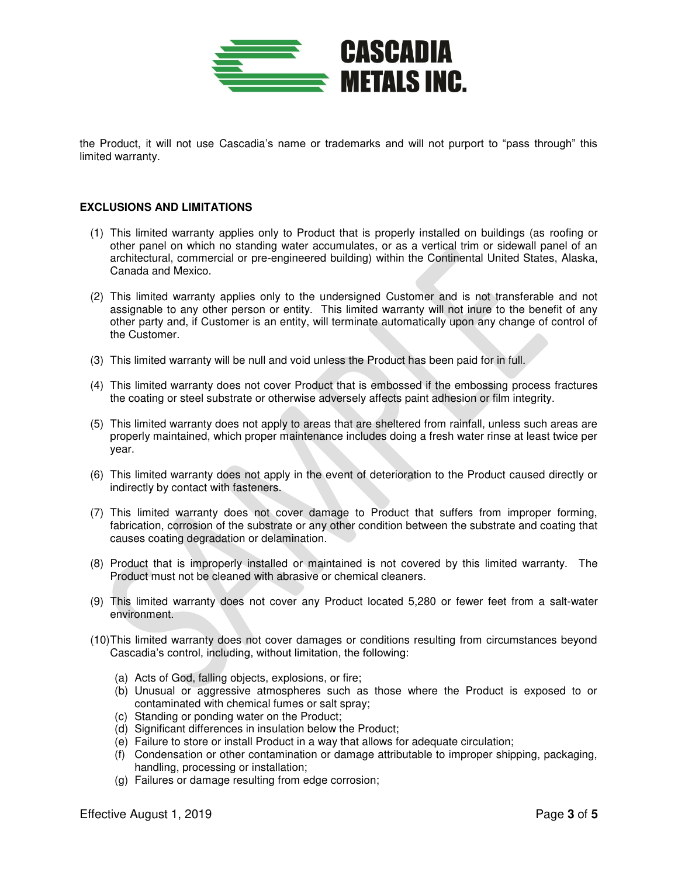

the Product, it will not use Cascadia's name or trademarks and will not purport to "pass through" this limited warranty.

#### **EXCLUSIONS AND LIMITATIONS**

- (1) This limited warranty applies only to Product that is properly installed on buildings (as roofing or other panel on which no standing water accumulates, or as a vertical trim or sidewall panel of an architectural, commercial or pre-engineered building) within the Continental United States, Alaska, Canada and Mexico.
- (2) This limited warranty applies only to the undersigned Customer and is not transferable and not assignable to any other person or entity. This limited warranty will not inure to the benefit of any other party and, if Customer is an entity, will terminate automatically upon any change of control of the Customer.
- (3) This limited warranty will be null and void unless the Product has been paid for in full.
- (4) This limited warranty does not cover Product that is embossed if the embossing process fractures the coating or steel substrate or otherwise adversely affects paint adhesion or film integrity.
- (5) This limited warranty does not apply to areas that are sheltered from rainfall, unless such areas are properly maintained, which proper maintenance includes doing a fresh water rinse at least twice per year.
- (6) This limited warranty does not apply in the event of deterioration to the Product caused directly or indirectly by contact with fasteners.
- (7) This limited warranty does not cover damage to Product that suffers from improper forming, fabrication, corrosion of the substrate or any other condition between the substrate and coating that causes coating degradation or delamination.
- (8) Product that is improperly installed or maintained is not covered by this limited warranty. The Product must not be cleaned with abrasive or chemical cleaners.
- (9) This limited warranty does not cover any Product located 5,280 or fewer feet from a salt-water environment.
- (10) This limited warranty does not cover damages or conditions resulting from circumstances beyond Cascadia's control, including, without limitation, the following:
	- (a) Acts of God, falling objects, explosions, or fire;
	- (b) Unusual or aggressive atmospheres such as those where the Product is exposed to or contaminated with chemical fumes or salt spray;
	- (c) Standing or ponding water on the Product;
	- (d) Significant differences in insulation below the Product;
	- (e) Failure to store or install Product in a way that allows for adequate circulation;
	- (f) Condensation or other contamination or damage attributable to improper shipping, packaging, handling, processing or installation;
	- (g) Failures or damage resulting from edge corrosion;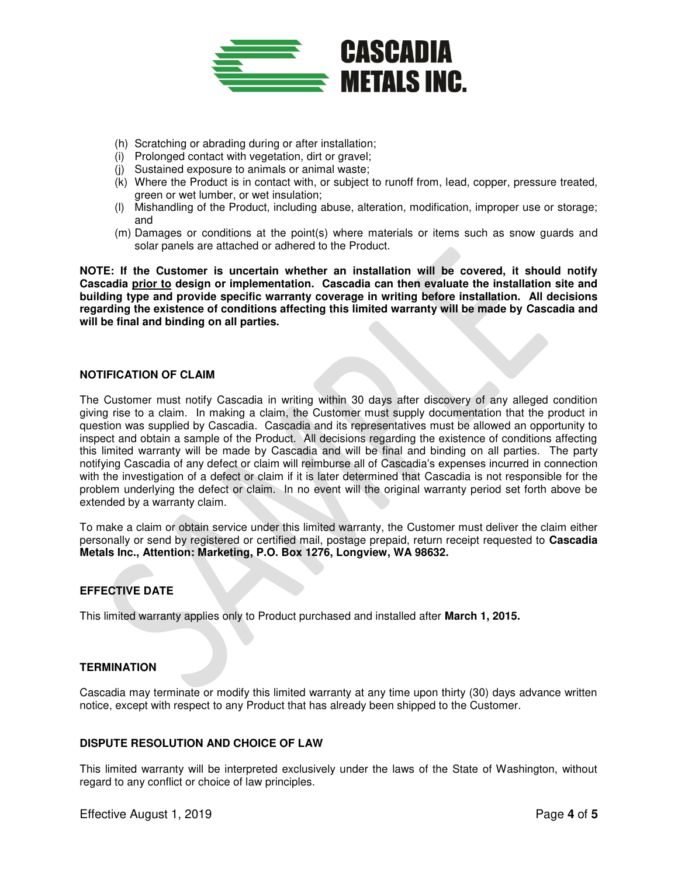

- (h) Scratching or abrading during or after installation;
- (i) Prolonged contact with vegetation, dirt or gravel;
- (j) Sustained exposure to animals or animal waste;
- (k) Where the Product is in contact with, or subject to runoff from, lead, copper, pressure treated, green or wet lumber, or wet insulation;
- (l) Mishandling of the Product, including abuse, alteration, modification, improper use or storage; and
- (m) Damages or conditions at the point(s) where materials or items such as snow guards and solar panels are attached or adhered to the Product.

**NOTE: If the Customer is uncertain whether an installation will be covered, it should notify Cascadia prior to design or implementation. Cascadia can then evaluate the installation site and building type and provide specific warranty coverage in writing before installation. All decisions regarding the existence of conditions affecting this limited warranty will be made by Cascadia and will be final and binding on all parties.** 

## **NOTIFICATION OF CLAIM**

The Customer must notify Cascadia in writing within 30 days after discovery of any alleged condition giving rise to a claim. In making a claim, the Customer must supply documentation that the product in question was supplied by Cascadia. Cascadia and its representatives must be allowed an opportunity to inspect and obtain a sample of the Product. All decisions regarding the existence of conditions affecting this limited warranty will be made by Cascadia and will be final and binding on all parties. The party notifying Cascadia of any defect or claim will reimburse all of Cascadia's expenses incurred in connection with the investigation of a defect or claim if it is later determined that Cascadia is not responsible for the problem underlying the defect or claim. In no event will the original warranty period set forth above be extended by a warranty claim.

To make a claim or obtain service under this limited warranty, the Customer must deliver the claim either personally or send by registered or certified mail, postage prepaid, return receipt requested to **Cascadia Metals Inc., Attention: Marketing, P.O. Box 1276, Longview, WA 98632.**

# **EFFECTIVE DATE**

This limited warranty applies only to Product purchased and installed after **March 1, 2015.**

# **TERMINATION**

Cascadia may terminate or modify this limited warranty at any time upon thirty (30) days advance written notice, except with respect to any Product that has already been shipped to the Customer.

## **DISPUTE RESOLUTION AND CHOICE OF LAW**

This limited warranty will be interpreted exclusively under the laws of the State of Washington, without regard to any conflict or choice of law principles.